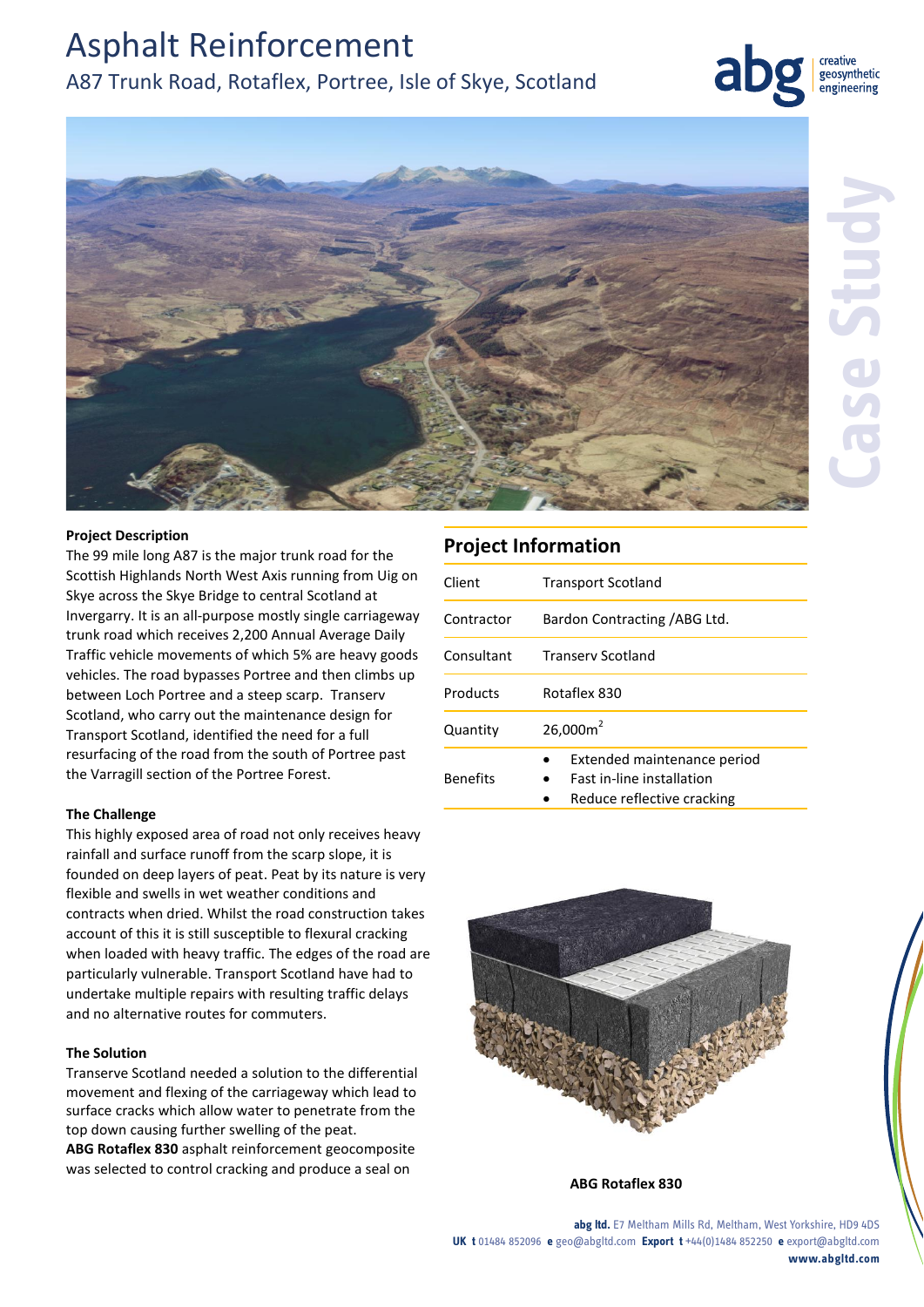# Asphalt Reinforcement A87 Trunk Road, Rotaflex, Portree, Isle of Skye, Scotland



creative geosynthetic engineering



#### **Project Description**

The 99 mile long A87 is the major trunk road for the Scottish Highlands North West Axis running from Uig on Skye across the Skye Bridge to central Scotland at Invergarry. It is an all-purpose mostly single carriageway trunk road which receives 2,200 Annual Average Daily Traffic vehicle movements of which 5% are heavy goods vehicles. The road bypasses Portree and then climbs up between Loch Portree and a steep scarp. Transerv Scotland, who carry out the maintenance design for Transport Scotland, identified the need for a full resurfacing of the road from the south of Portree past the Varragill section of the Portree Forest.

#### **The Challenge**

This highly exposed area of road not only receives heavy rainfall and surface runoff from the scarp slope, it is founded on deep layers of peat. Peat by its nature is very flexible and swells in wet weather conditions and contracts when dried. Whilst the road construction takes account of this it is still susceptible to flexural cracking when loaded with heavy traffic. The edges of the road are particularly vulnerable. Transport Scotland have had to undertake multiple repairs with resulting traffic delays and no alternative routes for commuters.

#### **The Solution**

Transerve Scotland needed a solution to the differential movement and flexing of the carriageway which lead to surface cracks which allow water to penetrate from the top down causing further swelling of the peat.

**ABG Rotaflex 830** asphalt reinforcement geocomposite was selected to control cracking and produce a seal on

### **Project Information**

| Client          | <b>Transport Scotland</b>                                                                     |
|-----------------|-----------------------------------------------------------------------------------------------|
| Contractor      | Bardon Contracting / ABG Ltd.                                                                 |
| Consultant      | <b>Transery Scotland</b>                                                                      |
| Products        | Rotaflex 830                                                                                  |
| Quantity        | 26,000m <sup>2</sup>                                                                          |
| <b>Benefits</b> | Extended maintenance period<br><b>Fast in-line installation</b><br>Reduce reflective cracking |



**ABG Rotaflex 830** 

**abg ltd.** E7 Meltham Mills Rd, Meltham, West Yorkshire, HD9 4DS **UK t** 01484 852096 **e** geo@abgltd.com **Export t** +44(0)1484 852250 **e** export@abgltd.com **www.abgltd.com**